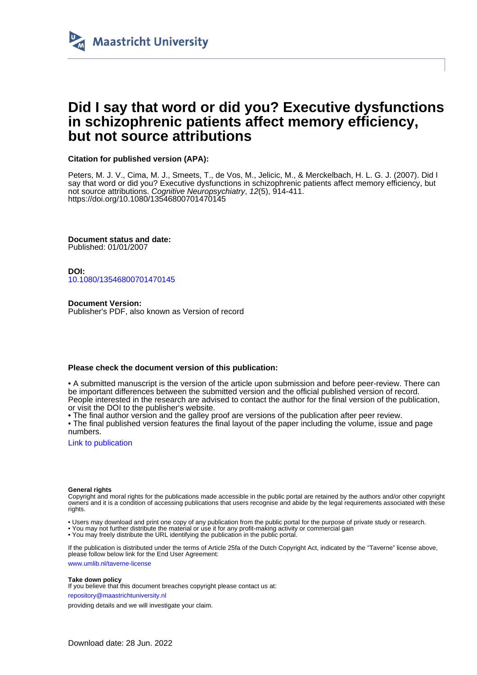

# **Did I say that word or did you? Executive dysfunctions in schizophrenic patients affect memory efficiency, but not source attributions**

## **Citation for published version (APA):**

Peters, M. J. V., Cima, M. J., Smeets, T., de Vos, M., Jelicic, M., & Merckelbach, H. L. G. J. (2007). Did I say that word or did you? Executive dysfunctions in schizophrenic patients affect memory efficiency, but not source attributions. Cognitive Neuropsychiatry, 12(5), 914-411. <https://doi.org/10.1080/13546800701470145>

**Document status and date:** Published: 01/01/2007

**DOI:** [10.1080/13546800701470145](https://doi.org/10.1080/13546800701470145)

**Document Version:** Publisher's PDF, also known as Version of record

### **Please check the document version of this publication:**

• A submitted manuscript is the version of the article upon submission and before peer-review. There can be important differences between the submitted version and the official published version of record. People interested in the research are advised to contact the author for the final version of the publication, or visit the DOI to the publisher's website.

• The final author version and the galley proof are versions of the publication after peer review.

• The final published version features the final layout of the paper including the volume, issue and page numbers.

[Link to publication](https://cris.maastrichtuniversity.nl/en/publications/d1dcf2c4-dcd7-464a-a996-9d5565d853a4)

#### **General rights**

Copyright and moral rights for the publications made accessible in the public portal are retained by the authors and/or other copyright owners and it is a condition of accessing publications that users recognise and abide by the legal requirements associated with these rights.

- Users may download and print one copy of any publication from the public portal for the purpose of private study or research.
- You may not further distribute the material or use it for any profit-making activity or commercial gain
- You may freely distribute the URL identifying the publication in the public portal.

If the publication is distributed under the terms of Article 25fa of the Dutch Copyright Act, indicated by the "Taverne" license above, please follow below link for the End User Agreement:

www.umlib.nl/taverne-license

#### **Take down policy**

If you believe that this document breaches copyright please contact us at:

repository@maastrichtuniversity.nl

providing details and we will investigate your claim.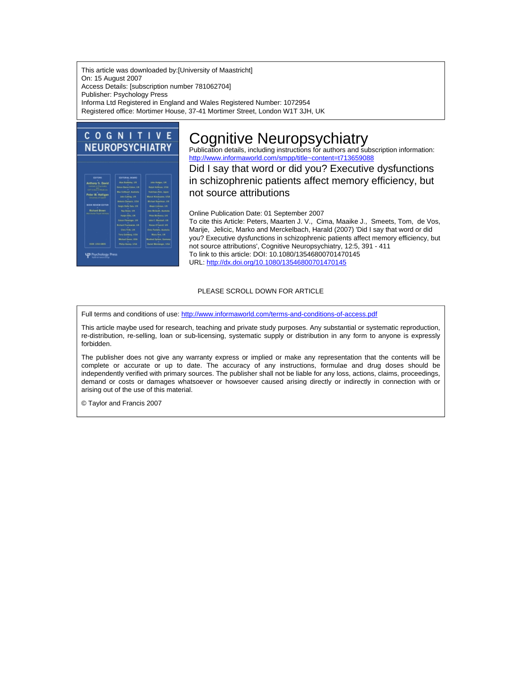This article was downloaded by:[University of Maastricht] On: 15 August 2007 Access Details: [subscription number 781062704] Publisher: Psychology Press Informa Ltd Registered in England and Wales Registered Number: 1072954 Registered office: Mortimer House, 37-41 Mortimer Street, London W1T 3JH, UK



# Cognitive Neuropsychiatry

Publication details, including instructions for authors and subscription information: <http://www.informaworld.com/smpp/title~content=t713659088>

Did I say that word or did you? Executive dysfunctions in schizophrenic patients affect memory efficiency, but not source attributions

Online Publication Date: 01 September 2007

To cite this Article: Peters, Maarten J. V., Cima, Maaike J., Smeets, Tom, de Vos, Marije, Jelicic, Marko and Merckelbach, Harald (2007) 'Did I say that word or did you? Executive dysfunctions in schizophrenic patients affect memory efficiency, but not source attributions', Cognitive Neuropsychiatry, 12:5, 391 - 411 To link to this article: DOI: 10.1080/13546800701470145 URL: <http://dx.doi.org/10.1080/13546800701470145>

### PLEASE SCROLL DOWN FOR ARTICLE

Full terms and conditions of use: <http://www.informaworld.com/terms-and-conditions-of-access.pdf>

This article maybe used for research, teaching and private study purposes. Any substantial or systematic reproduction, re-distribution, re-selling, loan or sub-licensing, systematic supply or distribution in any form to anyone is expressly forbidden.

The publisher does not give any warranty express or implied or make any representation that the contents will be complete or accurate or up to date. The accuracy of any instructions, formulae and drug doses should be independently verified with primary sources. The publisher shall not be liable for any loss, actions, claims, proceedings, demand or costs or damages whatsoever or howsoever caused arising directly or indirectly in connection with or arising out of the use of this material.

© Taylor and Francis 2007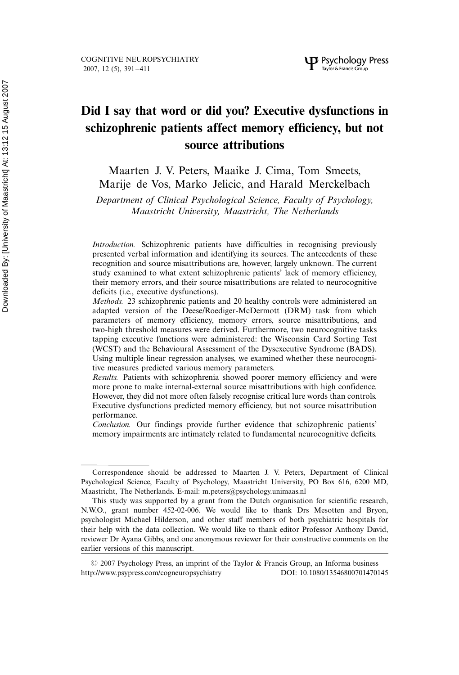# Did I say that word or did you? Executive dysfunctions in schizophrenic patients affect memory efficiency, but not source attributions

Maarten J. V. Peters, Maaike J. Cima, Tom Smeets, Marije de Vos, Marko Jelicic, and Harald Merckelbach

Department of Clinical Psychological Science, Faculty of Psychology, Maastricht University, Maastricht, The Netherlands

Introduction. Schizophrenic patients have difficulties in recognising previously presented verbal information and identifying its sources. The antecedents of these recognition and source misattributions are, however, largely unknown. The current study examined to what extent schizophrenic patients' lack of memory efficiency, their memory errors, and their source misattributions are related to neurocognitive deficits (i.e., executive dysfunctions).

Methods. 23 schizophrenic patients and 20 healthy controls were administered an adapted version of the Deese/Roediger-McDermott (DRM) task from which parameters of memory efficiency, memory errors, source misattributions, and two-high threshold measures were derived. Furthermore, two neurocognitive tasks tapping executive functions were administered: the Wisconsin Card Sorting Test (WCST) and the Behavioural Assessment of the Dysexecutive Syndrome (BADS). Using multiple linear regression analyses, we examined whether these neurocognitive measures predicted various memory parameters.

Results. Patients with schizophrenia showed poorer memory efficiency and were more prone to make internal-external source misattributions with high confidence. However, they did not more often falsely recognise critical lure words than controls. Executive dysfunctions predicted memory efficiency, but not source misattribution performance.

Conclusion. Our findings provide further evidence that schizophrenic patients' memory impairments are intimately related to fundamental neurocognitive deficits.

Correspondence should be addressed to Maarten J. V. Peters, Department of Clinical Psychological Science, Faculty of Psychology, Maastricht University, PO Box 616, 6200 MD, Maastricht, The Netherlands. E-mail: m.peters@psychology.unimaas.nl

This study was supported by a grant from the Dutch organisation for scientific research, N.W.O., grant number 452-02-006. We would like to thank Drs Mesotten and Bryon, psychologist Michael Hilderson, and other staff members of both psychiatric hospitals for their help with the data collection. We would like to thank editor Professor Anthony David, reviewer Dr Ayana Gibbs, and one anonymous reviewer for their constructive comments on the earlier versions of this manuscript.

 $\heartsuit$  2007 Psychology Press, an imprint of the Taylor & Francis Group, an Informa business http://www.psypress.com/cogneuropsychiatry DOI: 10.1080/13546800701470145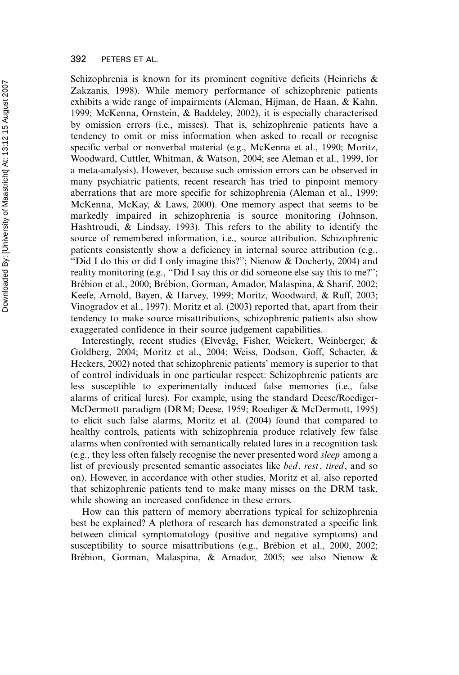Schizophrenia is known for its prominent cognitive deficits (Heinrichs & Zakzanis, 1998). While memory performance of schizophrenic patients exhibits a wide range of impairments (Aleman, Hijman, de Haan, & Kahn, 1999; McKenna, Ornstein, & Baddeley, 2002), it is especially characterised by omission errors (i.e., misses). That is, schizophrenic patients have a tendency to omit or miss information when asked to recall or recognise specific verbal or nonverbal material (e.g., McKenna et al., 1990; Moritz, Woodward, Cuttler, Whitman, & Watson, 2004; see Aleman et al., 1999, for a meta-analysis). However, because such omission errors can be observed in many psychiatric patients, recent research has tried to pinpoint memory aberrations that are more specific for schizophrenia (Aleman et al., 1999; McKenna, McKay, & Laws, 2000). One memory aspect that seems to be markedly impaired in schizophrenia is source monitoring (Johnson, Hashtroudi, & Lindsay, 1993). This refers to the ability to identify the source of remembered information, i.e., source attribution. Schizophrenic patients consistently show a deficiency in internal source attribution (e.g., "Did I do this or did I only imagine this?"; Nienow & Docherty, 2004) and reality monitoring (e.g., ''Did I say this or did someone else say this to me?''; Brébion et al., 2000; Brébion, Gorman, Amador, Malaspina, & Sharif, 2002; Keefe, Arnold, Bayen, & Harvey, 1999; Moritz, Woodward, & Ruff, 2003; Vinogradov et al., 1997). Moritz et al. (2003) reported that, apart from their tendency to make source misattributions, schizophrenic patients also show exaggerated confidence in their source judgement capabilities.

Interestingly, recent studies (Elvevåg, Fisher, Weickert, Weinberger, & Goldberg, 2004; Moritz et al., 2004; Weiss, Dodson, Goff, Schacter, & Heckers, 2002) noted that schizophrenic patients' memory is superior to that of control individuals in one particular respect: Schizophrenic patients are less susceptible to experimentally induced false memories (i.e., false alarms of critical lures). For example, using the standard Deese/Roediger-McDermott paradigm (DRM; Deese, 1959; Roediger & McDermott, 1995) to elicit such false alarms, Moritz et al. (2004) found that compared to healthy controls, patients with schizophrenia produce relatively few false alarms when confronted with semantically related lures in a recognition task (e.g., they less often falsely recognise the never presented word sleep among a list of previously presented semantic associates like bed, rest, tired, and so on). However, in accordance with other studies, Moritz et al. also reported that schizophrenic patients tend to make many misses on the DRM task, while showing an increased confidence in these errors.

How can this pattern of memory aberrations typical for schizophrenia best be explained? A plethora of research has demonstrated a specific link between clinical symptomatology (positive and negative symptoms) and susceptibility to source misattributions (e.g., Brébion et al., 2000, 2002; Brébion, Gorman, Malaspina, & Amador, 2005; see also Nienow &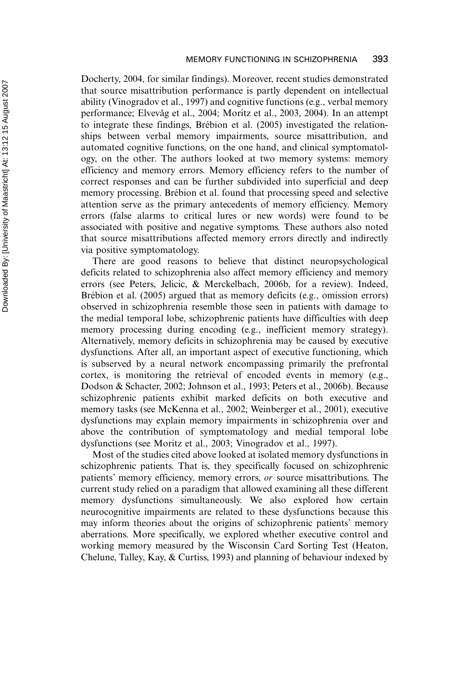Docherty, 2004, for similar findings). Moreover, recent studies demonstrated that source misattribution performance is partly dependent on intellectual ability (Vinogradov et al., 1997) and cognitive functions (e.g., verbal memory performance; Elvevåg et al., 2004; Moritz et al., 2003, 2004). In an attempt to integrate these findings, Brébion et al. (2005) investigated the relationships between verbal memory impairments, source misattribution, and automated cognitive functions, on the one hand, and clinical symptomatology, on the other. The authors looked at two memory systems: memory efficiency and memory errors. Memory efficiency refers to the number of correct responses and can be further subdivided into superficial and deep memory processing. Brébion et al. found that processing speed and selective attention serve as the primary antecedents of memory efficiency. Memory errors (false alarms to critical lures or new words) were found to be associated with positive and negative symptoms. These authors also noted that source misattributions affected memory errors directly and indirectly via positive symptomatology.

There are good reasons to believe that distinct neuropsychological deficits related to schizophrenia also affect memory efficiency and memory errors (see Peters, Jelicic, & Merckelbach, 2006b, for a review). Indeed, Brébion et al. (2005) argued that as memory deficits (e.g., omission errors) observed in schizophrenia resemble those seen in patients with damage to the medial temporal lobe, schizophrenic patients have difficulties with deep memory processing during encoding (e.g., inefficient memory strategy). Alternatively, memory deficits in schizophrenia may be caused by executive dysfunctions. After all, an important aspect of executive functioning, which is subserved by a neural network encompassing primarily the prefrontal cortex, is monitoring the retrieval of encoded events in memory (e.g., Dodson & Schacter, 2002; Johnson et al., 1993; Peters et al., 2006b). Because schizophrenic patients exhibit marked deficits on both executive and memory tasks (see McKenna et al., 2002; Weinberger et al., 2001), executive dysfunctions may explain memory impairments in schizophrenia over and above the contribution of symptomatology and medial temporal lobe dysfunctions (see Moritz et al., 2003; Vinogradov et al., 1997).

Most of the studies cited above looked at isolated memory dysfunctions in schizophrenic patients. That is, they specifically focused on schizophrenic patients' memory efficiency, memory errors, or source misattributions. The current study relied on a paradigm that allowed examining all these different memory dysfunctions simultaneously. We also explored how certain neurocognitive impairments are related to these dysfunctions because this may inform theories about the origins of schizophrenic patients' memory aberrations. More specifically, we explored whether executive control and working memory measured by the Wisconsin Card Sorting Test (Heaton, Chelune, Talley, Kay, & Curtiss, 1993) and planning of behaviour indexed by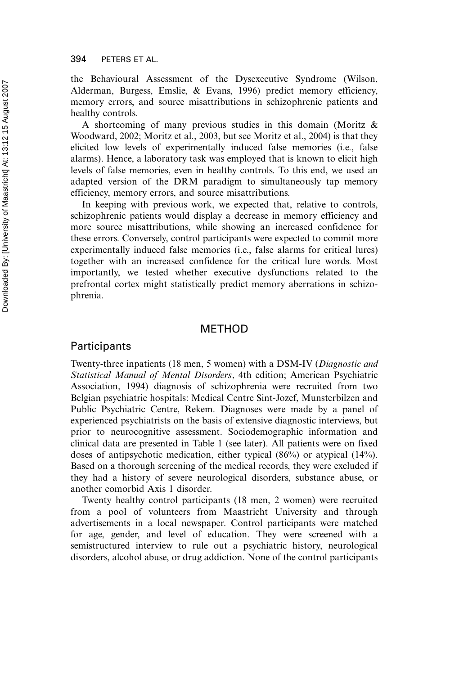the Behavioural Assessment of the Dysexecutive Syndrome (Wilson, Alderman, Burgess, Emslie, & Evans, 1996) predict memory efficiency, memory errors, and source misattributions in schizophrenic patients and healthy controls.

A shortcoming of many previous studies in this domain (Moritz & Woodward, 2002; Moritz et al., 2003, but see Moritz et al., 2004) is that they elicited low levels of experimentally induced false memories (i.e., false alarms). Hence, a laboratory task was employed that is known to elicit high levels of false memories, even in healthy controls. To this end, we used an adapted version of the DRM paradigm to simultaneously tap memory efficiency, memory errors, and source misattributions.

In keeping with previous work, we expected that, relative to controls, schizophrenic patients would display a decrease in memory efficiency and more source misattributions, while showing an increased confidence for these errors. Conversely, control participants were expected to commit more experimentally induced false memories (i.e., false alarms for critical lures) together with an increased confidence for the critical lure words. Most importantly, we tested whether executive dysfunctions related to the prefrontal cortex might statistically predict memory aberrations in schizophrenia.

## **METHOD**

#### **Participants**

Twenty-three inpatients (18 men, 5 women) with a DSM-IV (*Diagnostic and* Statistical Manual of Mental Disorders, 4th edition; American Psychiatric Association, 1994) diagnosis of schizophrenia were recruited from two Belgian psychiatric hospitals: Medical Centre Sint-Jozef, Munsterbilzen and Public Psychiatric Centre, Rekem. Diagnoses were made by a panel of experienced psychiatrists on the basis of extensive diagnostic interviews, but prior to neurocognitive assessment. Sociodemographic information and clinical data are presented in Table 1 (see later). All patients were on fixed doses of antipsychotic medication, either typical (86%) or atypical (14%). Based on a thorough screening of the medical records, they were excluded if they had a history of severe neurological disorders, substance abuse, or another comorbid Axis 1 disorder.

Twenty healthy control participants (18 men, 2 women) were recruited from a pool of volunteers from Maastricht University and through advertisements in a local newspaper. Control participants were matched for age, gender, and level of education. They were screened with a semistructured interview to rule out a psychiatric history, neurological disorders, alcohol abuse, or drug addiction. None of the control participants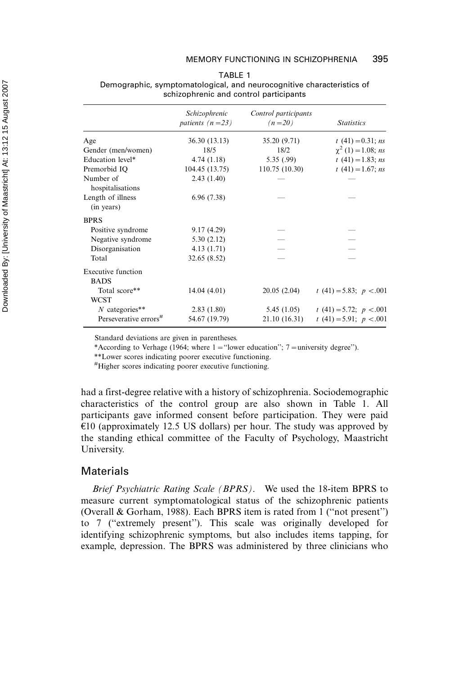#### Schizophrenic patients  $(n=23)$ Control participants  $(n=20)$ **Statistics** Age  $36.30(13.13)$   $35.20(9.71)$  $t(41) = 0.31$ ; ns Gender (men/women) 18/5 18/2  $\chi^2(1) = 1.08$ ; ns Education level\*  $4.74$  (1.18)  $5.35$  (.99)  $t(41) = 1.83$ ; ns Premorbid IQ 104.45 (13.75) 110.75 (10.30)  $t(41) = 1.67$ ; ns Number of hospitalisations  $2.43(1.40)$ Length of illness (in years)  $6.96(7.38)$ BPRS Positive syndrome  $9.17(4.29)$ Negative syndrome  $5.30(2.12)$ Disorganisation  $4.13(1.71)$ Total  $32.65 (8.52)$ Executive function BADS Total score\*\*  $14.04 (4.01)$  20.05 (2.04)  $t(41) = 5.83; p < .001$ **WCST**  $N \text{ categories}^{**}$  2.83 (1.80) 5.45 (1.05)  $t(41) = 5.72; p < .001$ Perseverative errors<sup>#</sup>  $54.67 (19.79)$  21.10 (16.31)  $t(41) = 5.91$ ;  $p < .001$

| TABLE 1                                                               |
|-----------------------------------------------------------------------|
| Demographic, symptomatological, and neurocognitive characteristics of |
| schizophrenic and control participants                                |

Standard deviations are given in parentheses.

\*According to Verhage (1964; where  $1 =$  "lower education";  $7 =$  university degree").

\*\*Lower scores indicating poorer executive functioning.

#Higher scores indicating poorer executive functioning.

had a first-degree relative with a history of schizophrenia. Sociodemographic characteristics of the control group are also shown in Table 1. All participants gave informed consent before participation. They were paid  $E10$  (approximately 12.5 US dollars) per hour. The study was approved by the standing ethical committee of the Faculty of Psychology, Maastricht University.

## **Materials**

Brief Psychiatric Rating Scale (BPRS). We used the 18-item BPRS to measure current symptomatological status of the schizophrenic patients (Overall & Gorham, 1988). Each BPRS item is rated from 1 (''not present'') to 7 (''extremely present''). This scale was originally developed for identifying schizophrenic symptoms, but also includes items tapping, for example, depression. The BPRS was administered by three clinicians who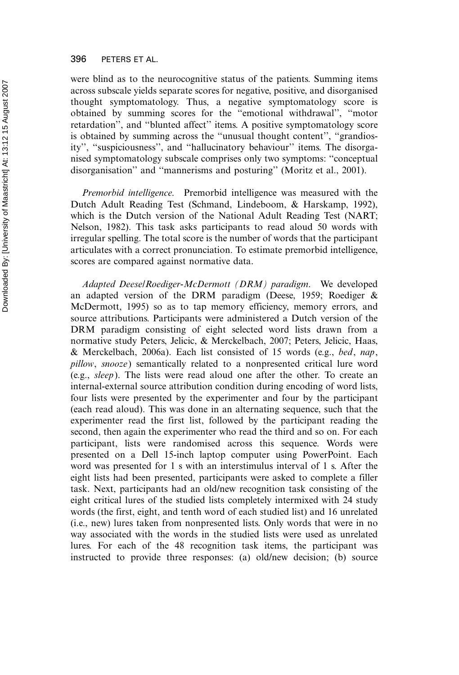were blind as to the neurocognitive status of the patients. Summing items across subscale yields separate scores for negative, positive, and disorganised thought symptomatology. Thus, a negative symptomatology score is obtained by summing scores for the ''emotional withdrawal'', ''motor retardation'', and ''blunted affect'' items. A positive symptomatology score is obtained by summing across the ''unusual thought content'', ''grandiosity", "suspiciousness", and "hallucinatory behaviour" items. The disorganised symptomatology subscale comprises only two symptoms: ''conceptual disorganisation'' and ''mannerisms and posturing'' (Moritz et al., 2001).

Premorbid intelligence. Premorbid intelligence was measured with the Dutch Adult Reading Test (Schmand, Lindeboom, & Harskamp, 1992), which is the Dutch version of the National Adult Reading Test (NART; Nelson, 1982). This task asks participants to read aloud 50 words with irregular spelling. The total score is the number of words that the participant articulates with a correct pronunciation. To estimate premorbid intelligence, scores are compared against normative data.

Adapted Deese/Roediger-McDermott (DRM) paradigm. We developed an adapted version of the DRM paradigm (Deese, 1959; Roediger & McDermott, 1995) so as to tap memory efficiency, memory errors, and source attributions. Participants were administered a Dutch version of the DRM paradigm consisting of eight selected word lists drawn from a normative study Peters, Jelicic, & Merckelbach, 2007; Peters, Jelicic, Haas, & Merckelbach, 2006a). Each list consisted of 15 words (e.g., *bed, nap,* pillow, snooze) semantically related to a nonpresented critical lure word (e.g., sleep). The lists were read aloud one after the other. To create an internal-external source attribution condition during encoding of word lists, four lists were presented by the experimenter and four by the participant (each read aloud). This was done in an alternating sequence, such that the experimenter read the first list, followed by the participant reading the second, then again the experimenter who read the third and so on. For each participant, lists were randomised across this sequence. Words were presented on a Dell 15-inch laptop computer using PowerPoint. Each word was presented for 1 s with an interstimulus interval of 1 s. After the eight lists had been presented, participants were asked to complete a filler task. Next, participants had an old/new recognition task consisting of the eight critical lures of the studied lists completely intermixed with 24 study words (the first, eight, and tenth word of each studied list) and 16 unrelated (i.e., new) lures taken from nonpresented lists. Only words that were in no way associated with the words in the studied lists were used as unrelated lures. For each of the 48 recognition task items, the participant was instructed to provide three responses: (a) old/new decision; (b) source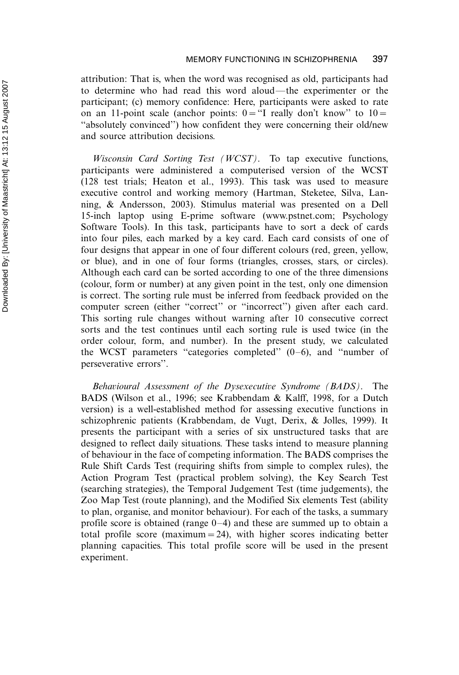attribution: That is, when the word was recognised as old, participants had to determine who had read this word aloud—the experimenter or the participant; (c) memory confidence: Here, participants were asked to rate on an 11-point scale (anchor points:  $0 =$  "I really don't know" to  $10 =$ ''absolutely convinced'') how confident they were concerning their old/new and source attribution decisions.

Wisconsin Card Sorting Test  $(WCST)$ . To tap executive functions, participants were administered a computerised version of the WCST (128 test trials; Heaton et al., 1993). This task was used to measure executive control and working memory (Hartman, Steketee, Silva, Lanning, & Andersson, 2003). Stimulus material was presented on a Dell 15-inch laptop using E-prime software (www.pstnet.com; Psychology Software Tools). In this task, participants have to sort a deck of cards into four piles, each marked by a key card. Each card consists of one of four designs that appear in one of four different colours (red, green, yellow, or blue), and in one of four forms (triangles, crosses, stars, or circles). Although each card can be sorted according to one of the three dimensions (colour, form or number) at any given point in the test, only one dimension is correct. The sorting rule must be inferred from feedback provided on the computer screen (either ''correct'' or ''incorrect'') given after each card. This sorting rule changes without warning after 10 consecutive correct sorts and the test continues until each sorting rule is used twice (in the order colour, form, and number). In the present study, we calculated the WCST parameters "categories completed"  $(0-6)$ , and "number of perseverative errors''.

Behavioural Assessment of the Dysexecutive Syndrome (BADS). The BADS (Wilson et al., 1996; see Krabbendam & Kalff, 1998, for a Dutch version) is a well-established method for assessing executive functions in schizophrenic patients (Krabbendam, de Vugt, Derix, & Jolles, 1999). It presents the participant with a series of six unstructured tasks that are designed to reflect daily situations. These tasks intend to measure planning of behaviour in the face of competing information. The BADS comprises the Rule Shift Cards Test (requiring shifts from simple to complex rules), the Action Program Test (practical problem solving), the Key Search Test (searching strategies), the Temporal Judgement Test (time judgements), the Zoo Map Test (route planning), and the Modified Six elements Test (ability to plan, organise, and monitor behaviour). For each of the tasks, a summary profile score is obtained (range  $0-4$ ) and these are summed up to obtain a total profile score (maximum  $=$  24), with higher scores indicating better planning capacities. This total profile score will be used in the present experiment.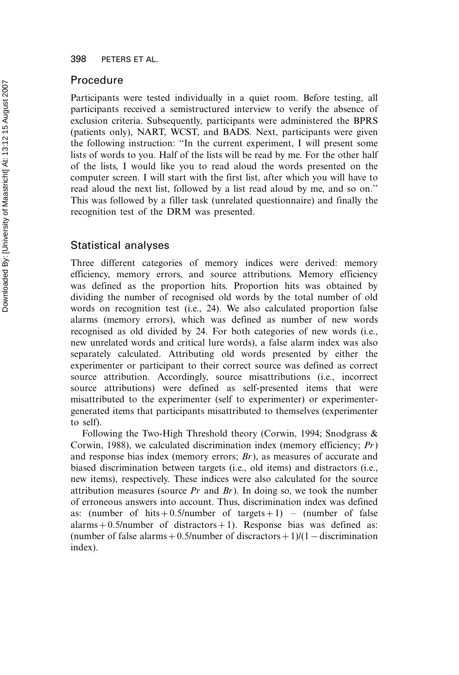#### Procedure

Participants were tested individually in a quiet room. Before testing, all participants received a semistructured interview to verify the absence of exclusion criteria. Subsequently, participants were administered the BPRS (patients only), NART, WCST, and BADS. Next, participants were given the following instruction: ''In the current experiment, I will present some lists of words to you. Half of the lists will be read by me. For the other half of the lists, I would like you to read aloud the words presented on the computer screen. I will start with the first list, after which you will have to read aloud the next list, followed by a list read aloud by me, and so on.'' This was followed by a filler task (unrelated questionnaire) and finally the recognition test of the DRM was presented.

## Statistical analyses

Three different categories of memory indices were derived: memory efficiency, memory errors, and source attributions. Memory efficiency was defined as the proportion hits. Proportion hits was obtained by dividing the number of recognised old words by the total number of old words on recognition test (i.e., 24). We also calculated proportion false alarms (memory errors), which was defined as number of new words recognised as old divided by 24. For both categories of new words (i.e., new unrelated words and critical lure words), a false alarm index was also separately calculated. Attributing old words presented by either the experimenter or participant to their correct source was defined as correct source attribution. Accordingly, source misattributions (i.e., incorrect source attributions) were defined as self-presented items that were misattributed to the experimenter (self to experimenter) or experimentergenerated items that participants misattributed to themselves (experimenter to self).

Following the Two-High Threshold theory (Corwin, 1994; Snodgrass & Corwin, 1988), we calculated discrimination index (memory efficiency; Pr) and response bias index (memory errors; Br), as measures of accurate and biased discrimination between targets (i.e., old items) and distractors (i.e., new items), respectively. These indices were also calculated for the source attribution measures (source  $Pr$  and  $Br$ ). In doing so, we took the number of erroneous answers into account. Thus, discrimination index was defined as: (number of hits+0.5/number of targets+1) – (number of false alarms $+0.5$ /number of distractors $+1$ ). Response bias was defined as: (number of false alarms + 0.5/number of discractors + 1)/(1 – discrimination index).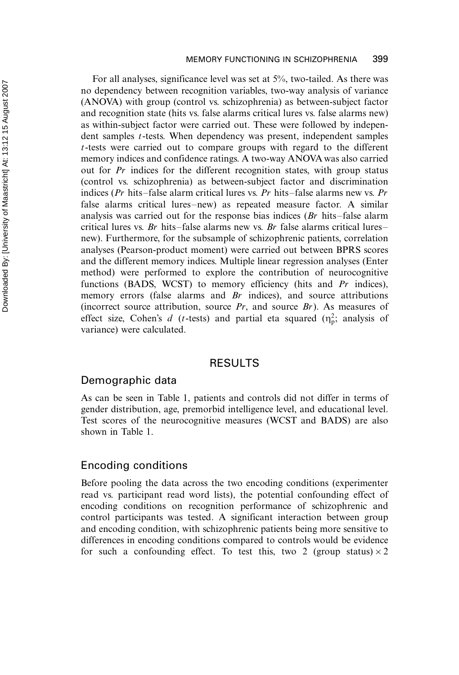For all analyses, significance level was set at 5%, two-tailed. As there was no dependency between recognition variables, two-way analysis of variance (ANOVA) with group (control vs. schizophrenia) as between-subject factor and recognition state (hits vs. false alarms critical lures vs. false alarms new) as within-subject factor were carried out. These were followed by independent samples t-tests. When dependency was present, independent samples t-tests were carried out to compare groups with regard to the different memory indices and confidence ratings. A two-way ANOVA was also carried out for Pr indices for the different recognition states, with group status (control vs. schizophrenia) as between-subject factor and discrimination indices ( $Pr$  hits-false alarm critical lures vs.  $Pr$  hits-false alarms new vs.  $Pr$ false alarms critical lures-new) as repeated measure factor. A similar analysis was carried out for the response bias indices  $(Br)$  hits–false alarm critical lures vs. Br hits-false alarms new vs. Br false alarms critical luresnew). Furthermore, for the subsample of schizophrenic patients, correlation analyses (Pearson-product moment) were carried out between BPRS scores and the different memory indices. Multiple linear regression analyses (Enter method) were performed to explore the contribution of neurocognitive functions (BADS, WCST) to memory efficiency (hits and  $Pr$  indices), memory errors (false alarms and Br indices), and source attributions (incorrect source attribution, source  $Pr$ , and source  $Br$ ). As measures of effect size, Cohen's d (t-tests) and partial eta squared  $(n_p^2)$ ; analysis of variance) were calculated.

## RESULTS

#### Demographic data

As can be seen in Table 1, patients and controls did not differ in terms of gender distribution, age, premorbid intelligence level, and educational level. Test scores of the neurocognitive measures (WCST and BADS) are also shown in Table 1.

#### Encoding conditions

Before pooling the data across the two encoding conditions (experimenter read vs. participant read word lists), the potential confounding effect of encoding conditions on recognition performance of schizophrenic and control participants was tested. A significant interaction between group and encoding condition, with schizophrenic patients being more sensitive to differences in encoding conditions compared to controls would be evidence for such a confounding effect. To test this, two 2 (group status)  $\times$  2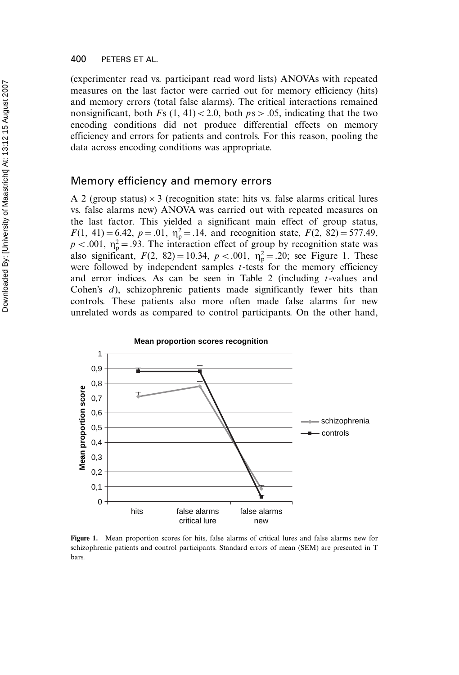(experimenter read vs. participant read word lists) ANOVAs with repeated measures on the last factor were carried out for memory efficiency (hits) and memory errors (total false alarms). The critical interactions remained nonsignificant, both  $Fs(1, 41) < 2.0$ , both  $ps > .05$ , indicating that the two encoding conditions did not produce differential effects on memory efficiency and errors for patients and controls. For this reason, pooling the data across encoding conditions was appropriate.

## Memory efficiency and memory errors

A 2 (group status)  $\times$  3 (recognition state: hits vs. false alarms critical lures vs. false alarms new) ANOVA was carried out with repeated measures on the last factor. This yielded a significant main effect of group status,  $F(1, 41) = 6.42$ ,  $p = .01$ ,  $\eta_p^2 = .14$ , and recognition state,  $F(2, 82) = 577.49$ ,  $p < .001$ ,  $\eta_{\rm p}^2 = .93$ . The interaction effect of group by recognition state was also significant,  $F(2, 82) = 10.34$ ,  $p < .001$ ,  $\eta_p^2 = .20$ ; see Figure 1. These were followed by independent samples  $t$ -tests for the memory efficiency and error indices. As can be seen in Table 2 (including  $t$ -values and Cohen's d), schizophrenic patients made significantly fewer hits than controls. These patients also more often made false alarms for new unrelated words as compared to control participants. On the other hand,



Figure 1. Mean proportion scores for hits, false alarms of critical lures and false alarms new for schizophrenic patients and control participants. Standard errors of mean (SEM) are presented in T bars.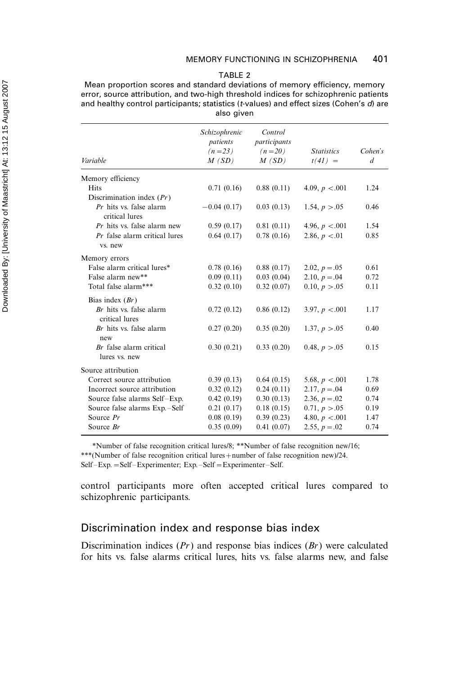#### TABLE 2

Mean proportion scores and standard deviations of memory efficiency, memory error, source attribution, and two-high threshold indices for schizophrenic patients and healthy control participants; statistics (t-values) and effect sizes (Cohen's d) are also given

| Variable                                    | Schizophrenic<br>patients<br>$(n=23)$<br>M(SD) | Control<br>participants<br>$(n=20)$<br>M(SD) | <b>Statistics</b><br>$t(41) =$ | Cohen's<br>d |
|---------------------------------------------|------------------------------------------------|----------------------------------------------|--------------------------------|--------------|
| Memory efficiency                           |                                                |                                              |                                |              |
| <b>Hits</b>                                 | 0.71(0.16)                                     | 0.88(0.11)                                   | 4.09, $p < 0.001$              | 1.24         |
| Discrimination index $(Pr)$                 |                                                |                                              |                                |              |
| $Pr$ hits vs. false alarm<br>critical lures | $-0.04(0.17)$                                  | 0.03(0.13)                                   | 1.54, $p > .05$                | 0.46         |
| $Pr$ hits vs. false alarm new               | 0.59(0.17)                                     | 0.81(0.11)                                   | 4.96, $p < .001$               | 1.54         |
| Pr false alarm critical lures<br>vs. new    | 0.64(0.17)                                     | 0.78(0.16)                                   | 2.86, $p < 01$                 | 0.85         |
| Memory errors                               |                                                |                                              |                                |              |
| False alarm critical lures*                 | 0.78(0.16)                                     | 0.88(0.17)                                   | 2.02, $p = .05$                | 0.61         |
| False alarm new**                           | 0.09(0.11)                                     | 0.03(0.04)                                   | 2.10, $p = .04$                | 0.72         |
| Total false alarm***                        | 0.32(0.10)                                     | 0.32(0.07)                                   | 0.10, $p > 0.05$               | 0.11         |
| Bias index $(Br)$                           |                                                |                                              |                                |              |
| $Br$ hits vs. false alarm<br>critical lures | 0.72(0.12)                                     | 0.86(0.12)                                   | 3.97, $p < 0.001$              | 1.17         |
| $Br$ hits vs. false alarm<br>new            | 0.27(0.20)                                     | 0.35(0.20)                                   | 1.37, $p > .05$                | 0.40         |
| $Br$ false alarm critical<br>lures vs. new  | 0.30(0.21)                                     | 0.33(0.20)                                   | 0.48, $p > 0.05$               | 0.15         |
| Source attribution                          |                                                |                                              |                                |              |
| Correct source attribution                  | 0.39(0.13)                                     | 0.64(0.15)                                   | 5.68, $p < .001$               | 1.78         |
| Incorrect source attribution                | 0.32(0.12)                                     | 0.24(0.11)                                   | 2.17, $p = .04$                | 0.69         |
| Source false alarms Self-Exp.               | 0.42(0.19)                                     | 0.30(0.13)                                   | 2.36, $p = .02$                | 0.74         |
| Source false alarms Exp. - Self             | 0.21(0.17)                                     | 0.18(0.15)                                   | 0.71, $p > 0.05$               | 0.19         |
| Source Pr                                   | 0.08(0.19)                                     | 0.39(0.23)                                   | 4.80, $p < .001$               | 1.47         |
| Source $Br$                                 | 0.35(0.09)                                     | 0.41(0.07)                                   | 2.55, $p = .02$                | 0.74         |

\*Number of false recognition critical lures/8; \*\*Number of false recognition new/16; \*\*\*(Number of false recognition critical lures+number of false recognition new)/24. Self-Exp. = Self-Experimenter; Exp.-Self = Experimenter-Self.

control participants more often accepted critical lures compared to schizophrenic participants.

# Discrimination index and response bias index

Discrimination indices  $(Pr)$  and response bias indices  $(Br)$  were calculated for hits vs. false alarms critical lures, hits vs. false alarms new, and false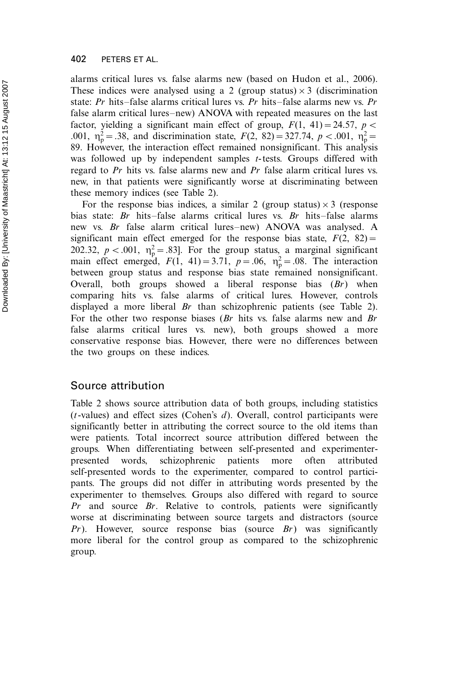alarms critical lures vs. false alarms new (based on Hudon et al., 2006). These indices were analysed using a 2 (group status)  $\times$  3 (discrimination state: Pr hits-false alarms critical lures vs. Pr hits-false alarms new vs. Pr false alarm critical lures-new) ANOVA with repeated measures on the last factor, yielding a significant main effect of group,  $F(1, 41) = 24.57$ ,  $p <$ .001,  $\eta_p^2 = 0.38$ , and discrimination state,  $F(2, 82) = 327.74$ ,  $p < 0.001$ ,  $\eta_p^2 = 0.001$ 89. However, the interaction effect remained nonsignificant. This analysis was followed up by independent samples  $t$ -tests. Groups differed with regard to Pr hits vs. false alarms new and Pr false alarm critical lures vs. new, in that patients were significantly worse at discriminating between these memory indices (see Table 2).

For the response bias indices, a similar 2 (group status)  $\times$  3 (response bias state: Br hits-false alarms critical lures vs. Br hits-false alarms new vs. Br false alarm critical lures-new) ANOVA was analysed. A significant main effect emerged for the response bias state,  $F(2, 82) =$ 202.32,  $p < .001$ ,  $\eta_p^2 = .83$ . For the group status, a marginal significant main effect emerged,  $F(1, 41) = 3.71$ ,  $p = .06$ ,  $\eta_p^2 = .08$ . The interaction between group status and response bias state remained nonsignificant. Overall, both groups showed a liberal response bias  $(Br)$  when comparing hits vs. false alarms of critical lures. However, controls displayed a more liberal Br than schizophrenic patients (see Table 2). For the other two response biases  $(Br)$  hits vs. false alarms new and Br false alarms critical lures vs. new), both groups showed a more conservative response bias. However, there were no differences between the two groups on these indices.

## Source attribution

Table 2 shows source attribution data of both groups, including statistics  $(t$ -values) and effect sizes (Cohen's d). Overall, control participants were significantly better in attributing the correct source to the old items than were patients. Total incorrect source attribution differed between the groups. When differentiating between self-presented and experimenterpresented words, schizophrenic patients more often attributed self-presented words to the experimenter, compared to control participants. The groups did not differ in attributing words presented by the experimenter to themselves. Groups also differed with regard to source  $Pr$  and source  $Br$ . Relative to controls, patients were significantly worse at discriminating between source targets and distractors (source  $Pr$ ). However, source response bias (source Br) was significantly more liberal for the control group as compared to the schizophrenic group.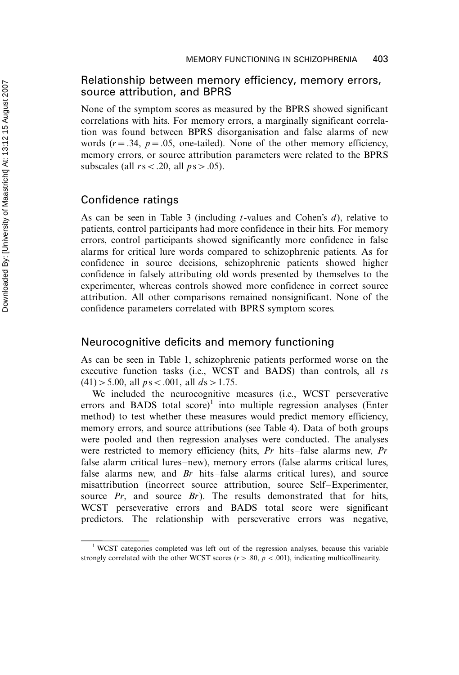## Relationship between memory efficiency, memory errors, source attribution, and BPRS

None of the symptom scores as measured by the BPRS showed significant correlations with hits. For memory errors, a marginally significant correlation was found between BPRS disorganisation and false alarms of new words ( $r = .34$ ,  $p = .05$ , one-tailed). None of the other memory efficiency, memory errors, or source attribution parameters were related to the BPRS subscales (all  $rs < .20$ , all  $ps > .05$ ).

## Confidence ratings

As can be seen in Table 3 (including *t*-values and Cohen's  $d$ ), relative to patients, control participants had more confidence in their hits. For memory errors, control participants showed significantly more confidence in false alarms for critical lure words compared to schizophrenic patients. As for confidence in source decisions, schizophrenic patients showed higher confidence in falsely attributing old words presented by themselves to the experimenter, whereas controls showed more confidence in correct source attribution. All other comparisons remained nonsignificant. None of the confidence parameters correlated with BPRS symptom scores.

## Neurocognitive deficits and memory functioning

As can be seen in Table 1, schizophrenic patients performed worse on the executive function tasks (i.e., WCST and BADS) than controls, all ts  $(41)$  > 5.00, all ps < .001, all ds > 1.75.

We included the neurocognitive measures (i.e., WCST perseverative errors and BADS total score)<sup>1</sup> into multiple regression analyses (Enter method) to test whether these measures would predict memory efficiency, memory errors, and source attributions (see Table 4). Data of both groups were pooled and then regression analyses were conducted. The analyses were restricted to memory efficiency (hits,  $Pr$  hits–false alarms new,  $Pr$ false alarm critical lures-new), memory errors (false alarms critical lures, false alarms new, and  $Br$  hits-false alarms critical lures), and source misattribution (incorrect source attribution, source Self–Experimenter, source  $Pr$ , and source  $Br$ ). The results demonstrated that for hits, WCST perseverative errors and BADS total score were significant predictors. The relationship with perseverative errors was negative,

<sup>&</sup>lt;sup>1</sup> WCST categories completed was left out of the regression analyses, because this variable strongly correlated with the other WCST scores  $(r > .80, p < .001)$ , indicating multicollinearity.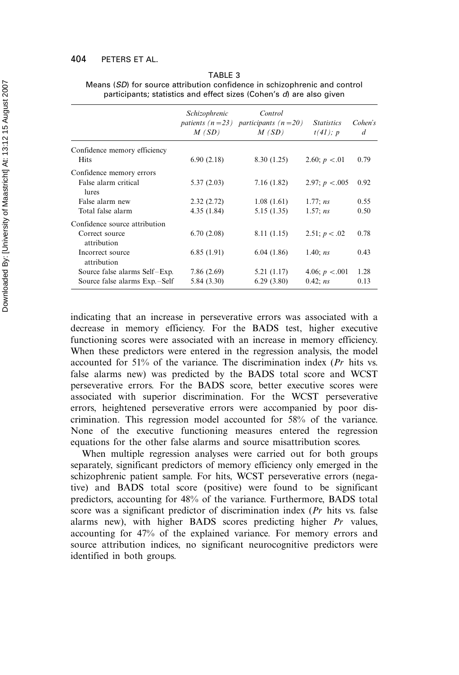|                                                                  | Schizophrenic<br>M(SD)    | Control<br>patients $(n=23)$ participants $(n=20)$<br>M(SD) | <i>Statistics</i><br>t(41); p | Cohen's<br>$\overline{d}$ |
|------------------------------------------------------------------|---------------------------|-------------------------------------------------------------|-------------------------------|---------------------------|
| Confidence memory efficiency<br><b>Hits</b>                      | 6.90(2.18)                | 8.30(1.25)                                                  | 2.60; $p < 01$                | 0.79                      |
| Confidence memory errors<br>False alarm critical                 | 5.37(2.03)                | 7.16 (1.82)                                                 | 2.97; $p < 0.005$             | 0.92                      |
| lures<br>False alarm new<br>Total false alarm                    | 2.32(2.72)<br>4.35(1.84)  | 1.08(1.61)<br>5.15(1.35)                                    | 1.77: ns<br>1.57; ns          | 0.55<br>0.50              |
| Confidence source attribution                                    |                           |                                                             |                               |                           |
| Correct source<br>attribution                                    | 6.70(2.08)                | 8.11 (1.15)                                                 | 2.51; $p < .02$               | 0.78                      |
| Incorrect source<br>attribution                                  | 6.85(1.91)                | 6.04(1.86)                                                  | 1.40; ns                      | 0.43                      |
| Source false alarms Self-Exp.<br>Source false alarms Exp. - Self | 7.86(2.69)<br>5.84 (3.30) | 5.21(1.17)<br>6.29(3.80)                                    | 4.06; $p < .001$<br>0.42; ns  | 1.28<br>0.13              |
|                                                                  |                           |                                                             |                               |                           |

TABLE 3 Means (SD) for source attribution confidence in schizophrenic and control participants; statistics and effect sizes (Cohen's d) are also given

indicating that an increase in perseverative errors was associated with a decrease in memory efficiency. For the BADS test, higher executive functioning scores were associated with an increase in memory efficiency. When these predictors were entered in the regression analysis, the model accounted for 51% of the variance. The discrimination index (Pr hits vs. false alarms new) was predicted by the BADS total score and WCST perseverative errors. For the BADS score, better executive scores were associated with superior discrimination. For the WCST perseverative errors, heightened perseverative errors were accompanied by poor discrimination. This regression model accounted for 58% of the variance. None of the executive functioning measures entered the regression equations for the other false alarms and source misattribution scores.

When multiple regression analyses were carried out for both groups separately, significant predictors of memory efficiency only emerged in the schizophrenic patient sample. For hits, WCST perseverative errors (negative) and BADS total score (positive) were found to be significant predictors, accounting for 48% of the variance. Furthermore, BADS total score was a significant predictor of discrimination index (*Pr* hits vs. false alarms new), with higher BADS scores predicting higher Pr values, accounting for 47% of the explained variance. For memory errors and source attribution indices, no significant neurocognitive predictors were identified in both groups.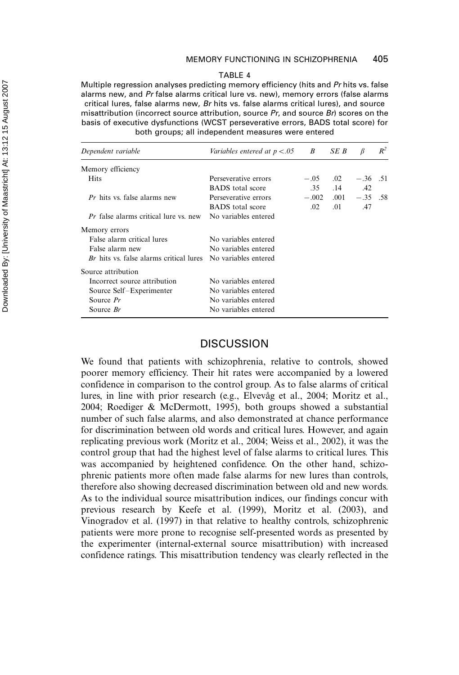#### TARIF 4

Multiple regression analyses predicting memory efficiency (hits and Pr hits vs. false alarms new, and Pr false alarms critical lure vs. new), memory errors (false alarms critical lures, false alarms new, Br hits vs. false alarms critical lures), and source misattribution (incorrect source attribution, source  $Pr$ , and source  $Br$ ) scores on the basis of executive dysfunctions (WCST perseverative errors, BADS total score) for both groups; all independent measures were entered

| Dependent variable                                           | Variables entered at $p < .05$ | $\boldsymbol{B}$ | SE B            | $\beta$    | $R^2$ |
|--------------------------------------------------------------|--------------------------------|------------------|-----------------|------------|-------|
| Memory efficiency                                            |                                |                  |                 |            |       |
| Hits                                                         | Perseverative errors           | $-.05$           | .02             | $-.36$ .51 |       |
|                                                              | <b>BADS</b> total score        | .35              | .14             | .42        |       |
| $Pr$ hits vs. false alarms new                               | Perseverative errors           |                  | $-.002 \t .001$ | $-.35-.58$ |       |
|                                                              | <b>BADS</b> total score        | .02              | .01             | .47        |       |
| <i>Pr</i> false alarms critical lure vs. new                 | No variables entered           |                  |                 |            |       |
| Memory errors                                                |                                |                  |                 |            |       |
| False alarm critical lures                                   | No variables entered           |                  |                 |            |       |
| False alarm new                                              | No variables entered           |                  |                 |            |       |
| Br hits vs. false alarms critical lures No variables entered |                                |                  |                 |            |       |
| Source attribution                                           |                                |                  |                 |            |       |
| Incorrect source attribution                                 | No variables entered           |                  |                 |            |       |
| Source Self-Experimenter                                     | No variables entered           |                  |                 |            |       |
| Source Pr                                                    | No variables entered           |                  |                 |            |       |
| Source Br                                                    | No variables entered           |                  |                 |            |       |

### **DISCUSSION**

We found that patients with schizophrenia, relative to controls, showed poorer memory efficiency. Their hit rates were accompanied by a lowered confidence in comparison to the control group. As to false alarms of critical lures, in line with prior research (e.g., Elvevåg et al., 2004; Moritz et al., 2004; Roediger & McDermott, 1995), both groups showed a substantial number of such false alarms, and also demonstrated at chance performance for discrimination between old words and critical lures. However, and again replicating previous work (Moritz et al., 2004; Weiss et al., 2002), it was the control group that had the highest level of false alarms to critical lures. This was accompanied by heightened confidence. On the other hand, schizophrenic patients more often made false alarms for new lures than controls, therefore also showing decreased discrimination between old and new words. As to the individual source misattribution indices, our findings concur with previous research by Keefe et al. (1999), Moritz et al. (2003), and Vinogradov et al. (1997) in that relative to healthy controls, schizophrenic patients were more prone to recognise self-presented words as presented by the experimenter (internal-external source misattribution) with increased confidence ratings. This misattribution tendency was clearly reflected in the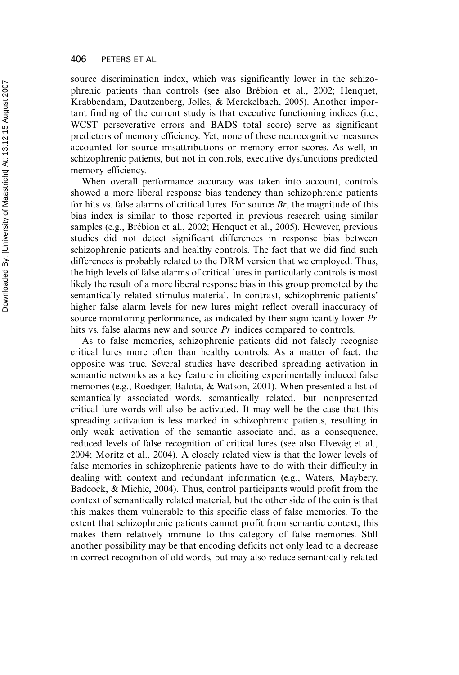source discrimination index, which was significantly lower in the schizophrenic patients than controls (see also Brébion et al., 2002; Henquet, Krabbendam, Dautzenberg, Jolles, & Merckelbach, 2005). Another important finding of the current study is that executive functioning indices (i.e., WCST perseverative errors and BADS total score) serve as significant predictors of memory efficiency. Yet, none of these neurocognitive measures accounted for source misattributions or memory error scores. As well, in schizophrenic patients, but not in controls, executive dysfunctions predicted memory efficiency.

When overall performance accuracy was taken into account, controls showed a more liberal response bias tendency than schizophrenic patients for hits vs. false alarms of critical lures. For source  $Br$ , the magnitude of this bias index is similar to those reported in previous research using similar samples (e.g., Brébion et al., 2002; Henquet et al., 2005). However, previous studies did not detect significant differences in response bias between schizophrenic patients and healthy controls. The fact that we did find such differences is probably related to the DRM version that we employed. Thus, the high levels of false alarms of critical lures in particularly controls is most likely the result of a more liberal response bias in this group promoted by the semantically related stimulus material. In contrast, schizophrenic patients' higher false alarm levels for new lures might reflect overall inaccuracy of source monitoring performance, as indicated by their significantly lower Pr hits vs. false alarms new and source Pr indices compared to controls.

As to false memories, schizophrenic patients did not falsely recognise critical lures more often than healthy controls. As a matter of fact, the opposite was true. Several studies have described spreading activation in semantic networks as a key feature in eliciting experimentally induced false memories (e.g., Roediger, Balota, & Watson, 2001). When presented a list of semantically associated words, semantically related, but nonpresented critical lure words will also be activated. It may well be the case that this spreading activation is less marked in schizophrenic patients, resulting in only weak activation of the semantic associate and, as a consequence, reduced levels of false recognition of critical lures (see also Elvevåg et al., 2004; Moritz et al., 2004). A closely related view is that the lower levels of false memories in schizophrenic patients have to do with their difficulty in dealing with context and redundant information (e.g., Waters, Maybery, Badcock, & Michie, 2004). Thus, control participants would profit from the context of semantically related material, but the other side of the coin is that this makes them vulnerable to this specific class of false memories. To the extent that schizophrenic patients cannot profit from semantic context, this makes them relatively immune to this category of false memories. Still another possibility may be that encoding deficits not only lead to a decrease in correct recognition of old words, but may also reduce semantically related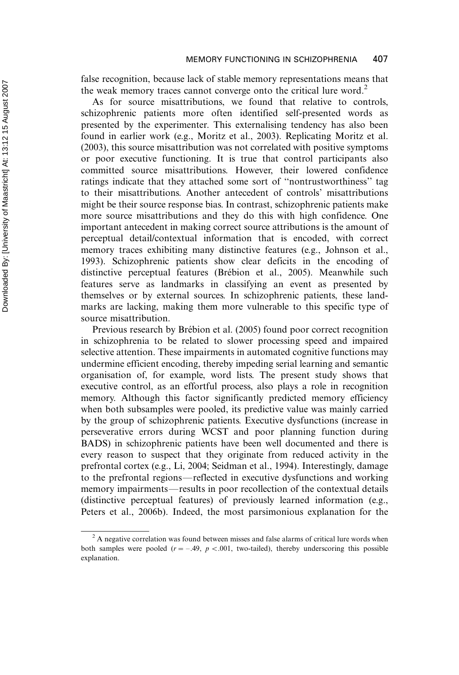false recognition, because lack of stable memory representations means that the weak memory traces cannot converge onto the critical lure word.<sup>2</sup>

As for source misattributions, we found that relative to controls, schizophrenic patients more often identified self-presented words as presented by the experimenter. This externalising tendency has also been found in earlier work (e.g., Moritz et al., 2003). Replicating Moritz et al. (2003), this source misattribution was not correlated with positive symptoms or poor executive functioning. It is true that control participants also committed source misattributions. However, their lowered confidence ratings indicate that they attached some sort of ''nontrustworthiness'' tag to their misattributions. Another antecedent of controls' misattributions might be their source response bias. In contrast, schizophrenic patients make more source misattributions and they do this with high confidence. One important antecedent in making correct source attributions is the amount of perceptual detail/contextual information that is encoded, with correct memory traces exhibiting many distinctive features (e.g., Johnson et al., 1993). Schizophrenic patients show clear deficits in the encoding of distinctive perceptual features (Brébion et al., 2005). Meanwhile such features serve as landmarks in classifying an event as presented by themselves or by external sources. In schizophrenic patients, these landmarks are lacking, making them more vulnerable to this specific type of source misattribution.

Previous research by Brébion et al. (2005) found poor correct recognition in schizophrenia to be related to slower processing speed and impaired selective attention. These impairments in automated cognitive functions may undermine efficient encoding, thereby impeding serial learning and semantic organisation of, for example, word lists. The present study shows that executive control, as an effortful process, also plays a role in recognition memory. Although this factor significantly predicted memory efficiency when both subsamples were pooled, its predictive value was mainly carried by the group of schizophrenic patients. Executive dysfunctions (increase in perseverative errors during WCST and poor planning function during BADS) in schizophrenic patients have been well documented and there is every reason to suspect that they originate from reduced activity in the prefrontal cortex (e.g., Li, 2004; Seidman et al., 1994). Interestingly, damage to the prefrontal regions—reflected in executive dysfunctions and working memory impairments—results in poor recollection of the contextual details (distinctive perceptual features) of previously learned information (e.g., Peters et al., 2006b). Indeed, the most parsimonious explanation for the

<sup>&</sup>lt;sup>2</sup> A negative correlation was found between misses and false alarms of critical lure words when both samples were pooled  $(r = -0.49, p < 0.001,$  two-tailed), thereby underscoring this possible explanation.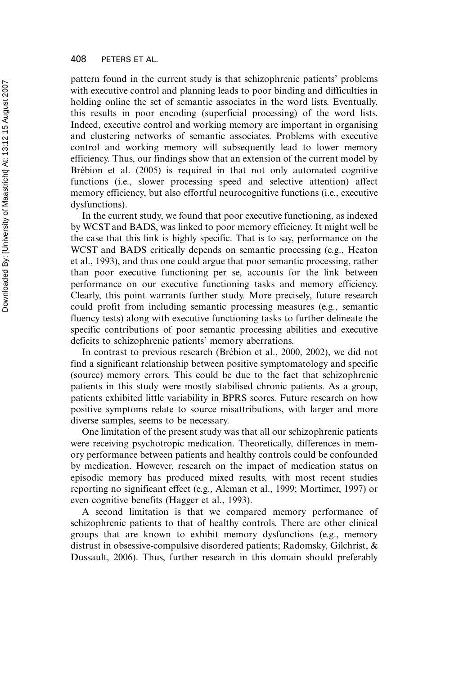pattern found in the current study is that schizophrenic patients' problems with executive control and planning leads to poor binding and difficulties in holding online the set of semantic associates in the word lists. Eventually, this results in poor encoding (superficial processing) of the word lists. Indeed, executive control and working memory are important in organising and clustering networks of semantic associates. Problems with executive control and working memory will subsequently lead to lower memory efficiency. Thus, our findings show that an extension of the current model by Brébion et al. (2005) is required in that not only automated cognitive functions (i.e., slower processing speed and selective attention) affect memory efficiency, but also effortful neurocognitive functions (i.e., executive dysfunctions).

In the current study, we found that poor executive functioning, as indexed by WCST and BADS, was linked to poor memory efficiency. It might well be the case that this link is highly specific. That is to say, performance on the WCST and BADS critically depends on semantic processing (e.g., Heaton et al., 1993), and thus one could argue that poor semantic processing, rather than poor executive functioning per se, accounts for the link between performance on our executive functioning tasks and memory efficiency. Clearly, this point warrants further study. More precisely, future research could profit from including semantic processing measures (e.g., semantic fluency tests) along with executive functioning tasks to further delineate the specific contributions of poor semantic processing abilities and executive deficits to schizophrenic patients' memory aberrations.

In contrast to previous research (Brébion et al., 2000, 2002), we did not find a significant relationship between positive symptomatology and specific (source) memory errors. This could be due to the fact that schizophrenic patients in this study were mostly stabilised chronic patients. As a group, patients exhibited little variability in BPRS scores. Future research on how positive symptoms relate to source misattributions, with larger and more diverse samples, seems to be necessary.

One limitation of the present study was that all our schizophrenic patients were receiving psychotropic medication. Theoretically, differences in memory performance between patients and healthy controls could be confounded by medication. However, research on the impact of medication status on episodic memory has produced mixed results, with most recent studies reporting no significant effect (e.g., Aleman et al., 1999; Mortimer, 1997) or even cognitive benefits (Hagger et al., 1993).

A second limitation is that we compared memory performance of schizophrenic patients to that of healthy controls. There are other clinical groups that are known to exhibit memory dysfunctions (e.g., memory distrust in obsessive-compulsive disordered patients; Radomsky, Gilchrist, & Dussault, 2006). Thus, further research in this domain should preferably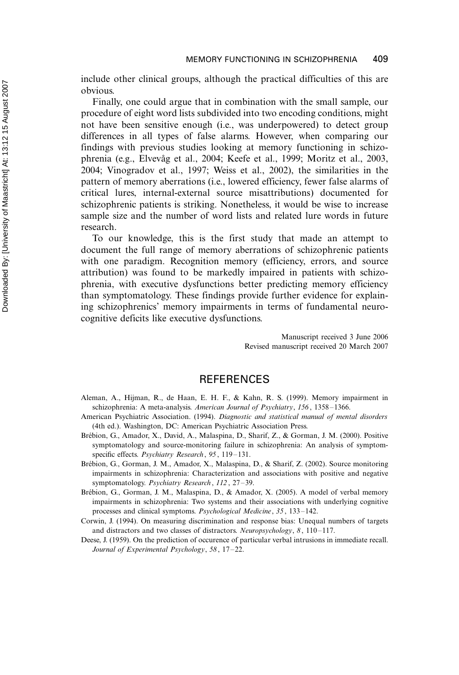include other clinical groups, although the practical difficulties of this are obvious.

Finally, one could argue that in combination with the small sample, our procedure of eight word lists subdivided into two encoding conditions, might not have been sensitive enough (i.e., was underpowered) to detect group differences in all types of false alarms. However, when comparing our findings with previous studies looking at memory functioning in schizophrenia (e.g., Elvevåg et al., 2004; Keefe et al., 1999; Moritz et al., 2003, 2004; Vinogradov et al., 1997; Weiss et al., 2002), the similarities in the pattern of memory aberrations (i.e., lowered efficiency, fewer false alarms of critical lures, internal-external source misattributions) documented for schizophrenic patients is striking. Nonetheless, it would be wise to increase sample size and the number of word lists and related lure words in future research.

To our knowledge, this is the first study that made an attempt to document the full range of memory aberrations of schizophrenic patients with one paradigm. Recognition memory (efficiency, errors, and source attribution) was found to be markedly impaired in patients with schizophrenia, with executive dysfunctions better predicting memory efficiency than symptomatology. These findings provide further evidence for explaining schizophrenics' memory impairments in terms of fundamental neurocognitive deficits like executive dysfunctions.

> Manuscript received 3 June 2006 Revised manuscript received 20 March 2007

## REFERENCES

- Aleman, A., Hijman, R., de Haan, E. H. F., & Kahn, R. S. (1999). Memory impairment in schizophrenia: A meta-analysis. American Journal of Psychiatry, 156, 1358–1366.
- American Psychiatric Association. (1994). Diagnostic and statistical manual of mental disorders (4th ed.). Washington, DC: American Psychiatric Association Press.
- Brébion, G., Amador, X., David, A., Malaspina, D., Sharif, Z., & Gorman, J. M. (2000). Positive symptomatology and source-monitoring failure in schizophrenia: An analysis of symptomspecific effects. Psychiatry Research, 95, 119-131.
- Brébion, G., Gorman, J. M., Amador, X., Malaspina, D., & Sharif, Z. (2002). Source monitoring impairments in schizophrenia: Characterization and associations with positive and negative symptomatology. Psychiatry Research, 112, 27-39.
- Brébion, G., Gorman, J. M., Malaspina, D., & Amador, X. (2005). A model of verbal memory impairments in schizophrenia: Two systems and their associations with underlying cognitive processes and clinical symptoms. Psychological Medicine, 35, 133-142.
- Corwin, J. (1994). On measuring discrimination and response bias: Unequal numbers of targets and distractors and two classes of distractors. Neuropsychology,  $8$ , 110-117.
- Deese, J. (1959). On the prediction of occurence of particular verbal intrusions in immediate recall. Journal of Experimental Psychology, 58, 17-22.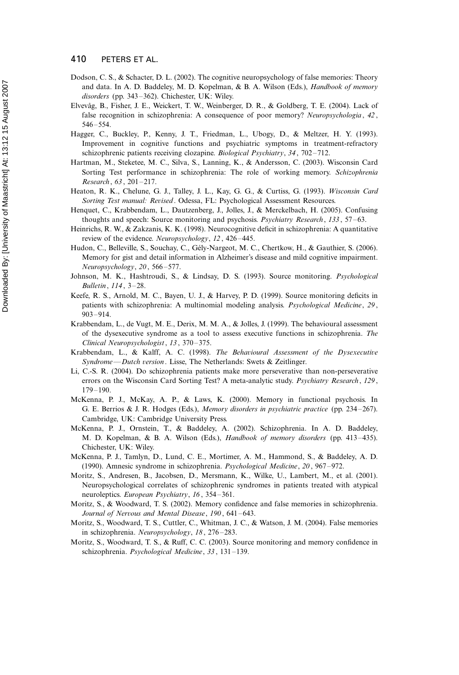- Dodson, C. S., & Schacter, D. L. (2002). The cognitive neuropsychology of false memories: Theory and data. In A. D. Baddeley, M. D. Kopelman, & B. A. Wilson (Eds.), Handbook of memory disorders (pp. 343-362). Chichester, UK: Wiley.
- Elvevåg, B., Fisher, J. E., Weickert, T. W., Weinberger, D. R., & Goldberg, T. E. (2004). Lack of false recognition in schizophrenia: A consequence of poor memory? Neuropsychologia, 42,  $546 - 554.$
- Hagger, C., Buckley, P., Kenny, J. T., Friedman, L., Ubogy, D., & Meltzer, H. Y. (1993). Improvement in cognitive functions and psychiatric symptoms in treatment-refractory schizophrenic patients receiving clozapine. Biological Psychiatry, 34, 702-712.
- Hartman, M., Steketee, M. C., Silva, S., Lanning, K., & Andersson, C. (2003). Wisconsin Card Sorting Test performance in schizophrenia: The role of working memory. Schizophrenia  $Research, 63, 201 - 217.$
- Heaton, R. K., Chelune, G. J., Talley, J. L., Kay, G. G., & Curtiss, G. (1993). Wisconsin Card Sorting Test manual: Revised. Odessa, FL: Psychological Assessment Resources.
- Henquet, C., Krabbendam, L., Dautzenberg, J., Jolles, J., & Merckelbach, H. (2005). Confusing thoughts and speech: Source monitoring and psychosis. *Psychiatry Research*, 133, 57–63.
- Heinrichs, R. W., & Zakzanis, K. K. (1998). Neurocognitive deficit in schizophrenia: A quantitative review of the evidence. Neuropsychology, 12, 426-445.
- Hudon, C., Belleville, S., Souchay, C., Gély-Nargeot, M. C., Chertkow, H., & Gauthier, S. (2006). Memory for gist and detail information in Alzheimer's disease and mild cognitive impairment. Neuropsychology, 20, 566-577.
- Johnson, M. K., Hashtroudi, S., & Lindsay, D. S. (1993). Source monitoring. *Psychological* Bulletin, 114, 3-28.
- Keefe, R. S., Arnold, M. C., Bayen, U. J., & Harvey, P. D. (1999). Source monitoring deficits in patients with schizophrenia: A multinomial modeling analysis. Psychological Medicine, 29 , 903-914.
- Krabbendam, L., de Vugt, M. E., Derix, M. M. A., & Jolles, J. (1999). The behavioural assessment of the dysexecutive syndrome as a tool to assess executive functions in schizophrenia. The Clinical Neuropsychologist, 13, 370-375.
- Krabbendam, L., & Kalff, A. C. (1998). The Behavioural Assessment of the Dysexecutive Syndrome-Dutch version. Lisse, The Netherlands: Swets & Zeitlinger.
- Li, C.-S. R. (2004). Do schizophrenia patients make more perseverative than non-perseverative errors on the Wisconsin Card Sorting Test? A meta-analytic study. Psychiatry Research, 129,  $179 - 190.$
- McKenna, P. J., McKay, A. P., & Laws, K. (2000). Memory in functional psychosis. In G. E. Berrios & J. R. Hodges (Eds.), Memory disorders in psychiatric practice (pp. 234–267). Cambridge, UK: Cambridge University Press.
- McKenna, P. J., Ornstein, T., & Baddeley, A. (2002). Schizophrenia. In A. D. Baddeley, M. D. Kopelman, & B. A. Wilson (Eds.), Handbook of memory disorders (pp. 413 435). Chichester, UK: Wiley.
- McKenna, P. J., Tamlyn, D., Lund, C. E., Mortimer, A. M., Hammond, S., & Baddeley, A. D. (1990). Amnesic syndrome in schizophrenia. Psychological Medicine, 20, 967-972.
- Moritz, S., Andresen, B., Jacobsen, D., Mersmann, K., Wilke, U., Lambert, M., et al. (2001). Neuropsychological correlates of schizophrenic syndromes in patients treated with atypical neuroleptics. European Psychiatry, 16, 354-361.
- Moritz, S., & Woodward, T. S. (2002). Memory confidence and false memories in schizophrenia. Journal of Nervous and Mental Disease, 190, 641-643.
- Moritz, S., Woodward, T. S., Cuttler, C., Whitman, J. C., & Watson, J. M. (2004). False memories in schizophrenia. Neuropsychology, 18, 276-283.
- Moritz, S., Woodward, T. S., & Ruff, C. C. (2003). Source monitoring and memory confidence in schizophrenia. Psychological Medicine, 33, 131-139.